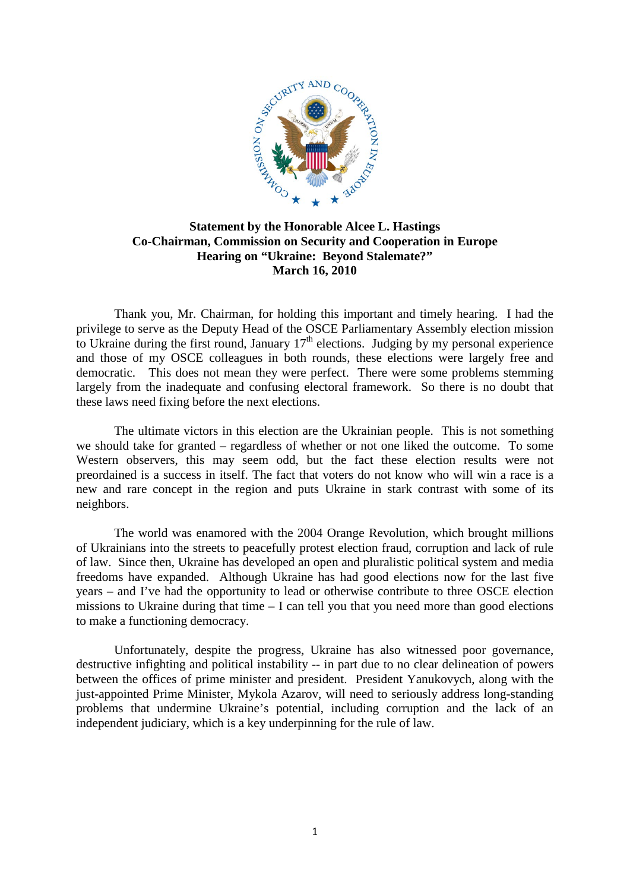

## **Statement by the Honorable Alcee L. Hastings Co-Chairman, Commission on Security and Cooperation in Europe Hearing on "Ukraine: Beyond Stalemate?" March 16, 2010**

Thank you, Mr. Chairman, for holding this important and timely hearing. I had the privilege to serve as the Deputy Head of the OSCE Parliamentary Assembly election mission to Ukraine during the first round, January  $17<sup>th</sup>$  elections. Judging by my personal experience and those of my OSCE colleagues in both rounds, these elections were largely free and democratic. This does not mean they were perfect. There were some problems stemming largely from the inadequate and confusing electoral framework. So there is no doubt that these laws need fixing before the next elections.

The ultimate victors in this election are the Ukrainian people. This is not something we should take for granted – regardless of whether or not one liked the outcome. To some Western observers, this may seem odd, but the fact these election results were not preordained is a success in itself. The fact that voters do not know who will win a race is a new and rare concept in the region and puts Ukraine in stark contrast with some of its neighbors.

The world was enamored with the 2004 Orange Revolution, which brought millions of Ukrainians into the streets to peacefully protest election fraud, corruption and lack of rule of law. Since then, Ukraine has developed an open and pluralistic political system and media freedoms have expanded. Although Ukraine has had good elections now for the last five years – and I've had the opportunity to lead or otherwise contribute to three OSCE election missions to Ukraine during that time – I can tell you that you need more than good elections to make a functioning democracy.

Unfortunately, despite the progress, Ukraine has also witnessed poor governance, destructive infighting and political instability -- in part due to no clear delineation of powers between the offices of prime minister and president. President Yanukovych, along with the just-appointed Prime Minister, Mykola Azarov, will need to seriously address long-standing problems that undermine Ukraine's potential, including corruption and the lack of an independent judiciary, which is a key underpinning for the rule of law.